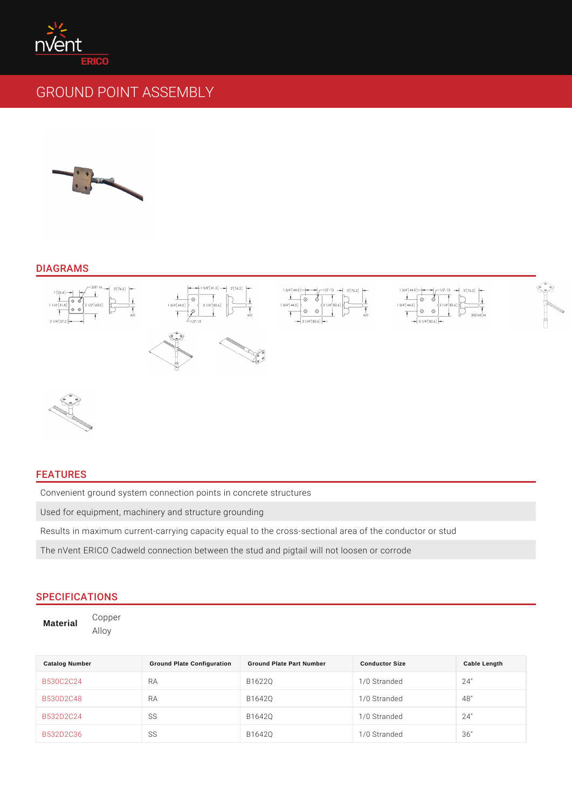## DIAGRAMS

### FEATURES

Convenient ground system connection points in concrete structures Used for equipment, machinery and structure grounding Results in maximum current-carrying capacity equal to the cross-sectional area The nVent ERICO Cadweld connection between the stud and pigtail will not loos

# SPECIFICATIONS

Material Copper Alloy

| Catalog Number    | Ground Plate Configuration | Ground Plate Part Number | Conductor Size | Cable Length |
|-------------------|----------------------------|--------------------------|----------------|--------------|
| B530C2C24         | R A                        | B1622Q                   | 1/0 Stranded   | 24"          |
| B 5 3 0 D 2 C 4 8 | R A                        | B1642Q                   | 1/0 Stranded   | 48"          |
| B 5 3 2 D 2 C 2 4 | S S                        | B 1 6 4 2 Q              | 1/0 Stranded   | 24"          |
| B532D2C36         | S S                        | B 1 6 4 2 Q              | 1/0 Stranded   | 36"          |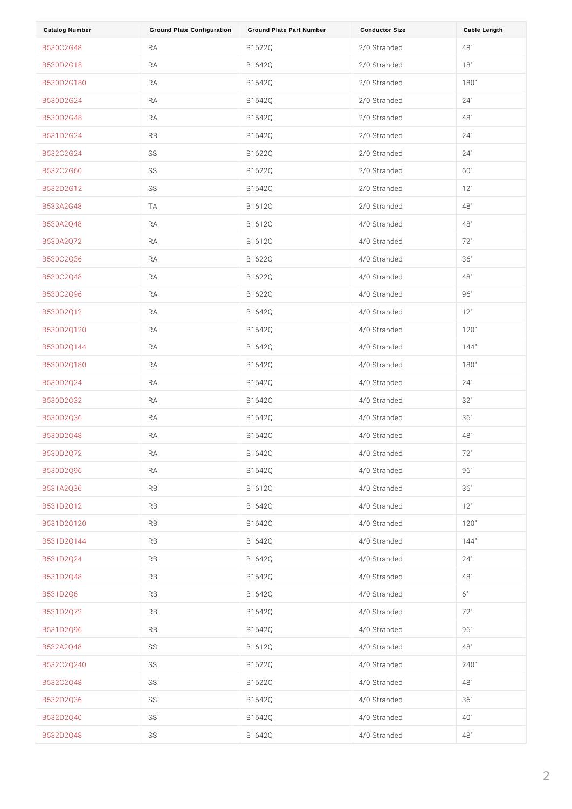| Catalog Number      | Ground Plate Configuration | Ground Plate Part Number | <b>Conductor Size</b> | Cable Length |
|---------------------|----------------------------|--------------------------|-----------------------|--------------|
| B530C2G48           | R A                        | B 1 6 2 2 Q              | 2/0 Stranded          | 48"          |
| B530D2G18           | R A                        | B 1 6 4 2 Q              | 2/0 Stranded          | 18"          |
| B530D2G180          | R A                        | B 1 6 4 2 Q              | 2/0 Stranded          | 180"         |
| B530D2G24           | R A                        | B 1 6 4 2 Q              | 2/0 Stranded          | 24"          |
| B 5 3 0 D 2 G 4 8   | R A                        | B 1 6 4 2 Q              | 2/0 Stranded          | 48"          |
| B 5 3 1 D 2 G 2 4   | R B                        | B1642Q                   | 2/0 Stranded          | 24"          |
| B 5 3 2 C 2 G 2 4   | S S                        | B1622Q                   | 2/0 Stranded          | 24"          |
| B532C2G60           | S S                        | B 1 6 2 2 Q              | 2/0 Stranded          | 60"          |
| B 5 3 2 D 2 G 1 2   | S S                        | B 1 6 4 2 Q              | 2/0 Stranded          | 12"          |
| B 5 3 3 A 2 G 4 8   | T A                        | B1612Q                   | 2/0 Stranded          | 48"          |
| B 5 3 0 A 2 Q 4 8   | R A                        | B1612Q                   | 4/0 Stranded          | 48"          |
| B530A2Q72           | R A                        | B1612Q                   | 4/0 Stranded          | 72"          |
| B 5 3 0 C 2 Q 3 6   | R A                        | B1622Q                   | 4/0 Stranded          | 36"          |
| B 5 3 0 C 2 Q 4 8   | R A                        | B1622Q                   | 4/0 Stranded          | 48"          |
| B 5 3 0 C 2 Q 9 6   | R A                        | B 1 6 2 2 Q              | 4/0 Stranded          | 96"          |
| B530D2Q12           | R A                        | B 1 6 4 2 Q              | 4/0 Stranded          | 12"          |
| B530D2Q120          | R A                        | B 1 6 4 2 Q              | 4/0 Stranded          | 120"         |
| B 5 3 0 D 2 Q 1 4 4 | R A                        | B 1 6 4 2 Q              | 4/0 Stranded          | 144"         |
| B530D2Q180          | R A                        | B 1 6 4 2 Q              | 4/0 Stranded          | 180"         |
| B 5 3 0 D 2 Q 2 4   | R A                        | B 1 6 4 2 Q              | 4/0 Stranded          | 24"          |
| B 5 3 0 D 2 Q 3 2   | R A                        | B 1 6 4 2 Q              | 4/0 Stranded          | 32"          |
| B 5 3 0 D 2 Q 3 6   | R A                        | B 1 6 4 2 Q              | 4/0 Stranded          | 36"          |
| B 5 3 0 D 2 Q 4 8   | R A                        | B 1 6 4 2 Q              | 4/0 Stranded          | 48"          |
| B 5 3 0 D 2 Q 7 2   | R A                        | B 1 6 4 2 Q              | 4/0 Stranded          | 72"          |
| B530D2Q96           | R A                        | B 1 6 4 2 Q              | 4/0 Stranded          | 96"          |
| B 5 3 1 A 2 Q 3 6   | R B                        | B1612Q                   | 4/0 Stranded          | 36"          |
| B 5 3 1 D 2 Q 1 2   | R B                        | B 1 6 4 2 Q              | 4/0 Stranded          | 12"          |
| B 5 3 1 D 2 Q 1 2 0 | R B                        | B 1 6 4 2 Q              | 4/0 Stranded          | 120"         |
| B531D2Q144          | R B                        | B 1 6 4 2 Q              | 4/0 Stranded          | 144"         |
| B 5 3 1 D 2 Q 2 4   | R B                        | B 1 6 4 2 Q              | 4/0 Stranded          | 24"          |
| B 5 3 1 D 2 Q 4 8   | R B                        | B 1 6 4 2 Q              | 4/0 Stranded          | 48"          |
| B 5 3 1 D 2 Q 6     | R B                        | B 1 6 4 2 Q              | 4/0 Stranded          | 6 "          |
| B 5 3 1 D 2 Q 7 2   | R B                        | B 1 6 4 2 Q              | 4/0 Stranded          | 72"          |
| B 5 3 1 D 2 Q 9 6   | R B                        | B 1 6 4 2 Q              | 4/0 Stranded          | 96"          |
| B 5 3 2 A 2 Q 4 8   | S S                        | B 1 6 1 2 Q              | 4/0 Stranded          | 48"          |
| B 5 3 2 C 2 Q 2 4 0 | S S                        | B1622Q                   | 4/0 Stranded          | 240"         |
| B 5 3 2 C 2 Q 4 8   | S S                        | B1622Q                   | 4/0 Stranded          | 48"          |
| B 5 3 2 D 2 Q 3 6   | S S                        | B 1 6 4 2 Q              | 4/0 Stranded          | 36"          |
| B 5 3 2 D 2 Q 4 0   | S S                        | B 1 6 4 2 Q              | 4/0 Stranded          | 40"          |
| B 5 3 2 D 2 Q 4 8   | S S                        | B 1 6 4 2 Q              | 4/0 Stranded          | 48"          |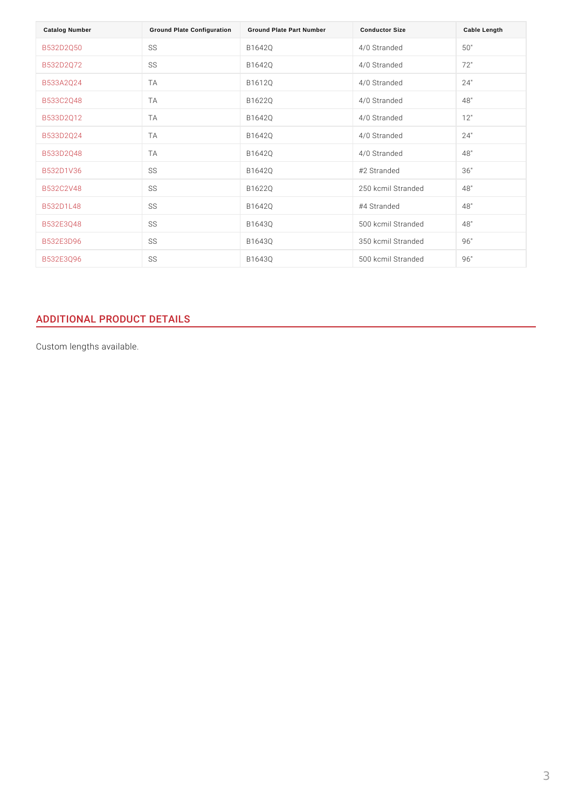| Catalog Number    | Ground Plate Configuration | Ground Plate Part Number | <b>Conductor Size</b>  | Cable Length |
|-------------------|----------------------------|--------------------------|------------------------|--------------|
| B532D2Q50         | S S                        | B1642Q                   | 4/0 Stranded           | 50"          |
| B 5 3 2 D 2 Q 7 2 | S S                        | B 1 6 4 2 Q              | 4/0 Stranded           | 72"          |
| B533A2Q24         | T A                        | B1612Q                   | 4/0 Stranded           | 24"          |
| B 5 3 3 C 2 Q 4 8 | T A                        | B 1 6 2 2 Q              | 4/0 Stranded           | 48"          |
| B533D2Q12         | T A                        | B 1 6 4 2 Q              | 4/0 Stranded           | 12"          |
| B 5 3 3 D 2 Q 2 4 | T A                        | B 1 6 4 2 Q              | 4/0 Stranded           | 24"          |
| B533D2Q48         | T A                        | B 1 6 4 2 Q              | 4/0 Stranded           | 48"          |
| B532D1V36         | S S                        | B 1 6 4 2 Q              | #2 Stranded            | 36"          |
| B 5 3 2 C 2 V 4 8 | S S                        | B 1 6 2 2 Q              | 250 kcmil Stranded 48" |              |
| B532D1L48         | S S                        | B 1 6 4 2 Q              | #4 Stranded            | 48"          |
| <b>B532E3Q48</b>  | S S                        | B1643Q                   | 500 kcmil Stranded48"  |              |
| <b>B532E3D96</b>  | S S                        | B1643Q                   | 350 kcmil Stranded96"  |              |
| <b>B532E3Q96</b>  | S S                        | B1643Q                   | 500 kcmil Stranded96"  |              |

# ADDITIONAL PRODUCT DETAILS

Custom lengths available.